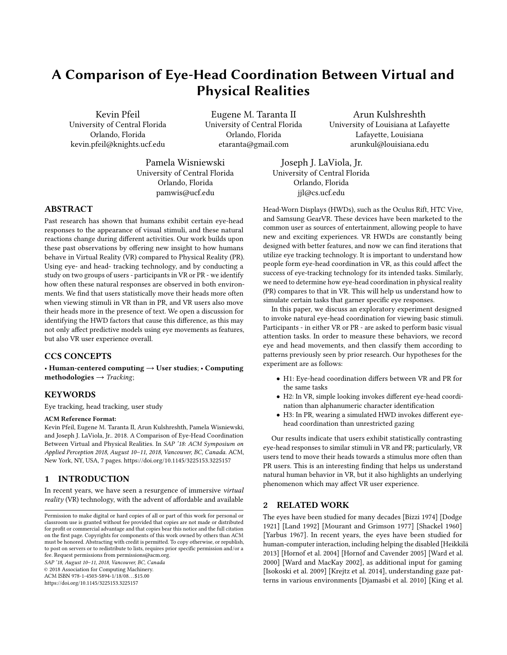# A Comparison of Eye-Head Coordination Between Virtual and Physical Realities

Kevin Pfeil University of Central Florida Orlando, Florida kevin.pfeil@knights.ucf.edu

Eugene M. Taranta II University of Central Florida Orlando, Florida etaranta@gmail.com

Arun Kulshreshth University of Louisiana at Lafayette Lafayette, Louisiana arunkul@louisiana.edu

Pamela Wisniewski University of Central Florida Orlando, Florida pamwis@ucf.edu

Joseph J. LaViola, Jr. University of Central Florida Orlando, Florida jjl@cs.ucf.edu

# ABSTRACT

Past research has shown that humans exhibit certain eye-head responses to the appearance of visual stimuli, and these natural reactions change during different activities. Our work builds upon these past observations by offering new insight to how humans behave in Virtual Reality (VR) compared to Physical Reality (PR). Using eye- and head- tracking technology, and by conducting a study on two groups of users - participants in VR or PR - we identify how often these natural responses are observed in both environments. We find that users statistically move their heads more often when viewing stimuli in VR than in PR, and VR users also move their heads more in the presence of text. We open a discussion for identifying the HWD factors that cause this difference, as this may not only affect predictive models using eye movements as features, but also VR user experience overall.

# CCS CONCEPTS

• Human-centered computing  $\rightarrow$  User studies; • Computing methodologies  $\rightarrow$  Tracking;

# **KEYWORDS**

Eye tracking, head tracking, user study

#### ACM Reference Format:

Kevin Pfeil, Eugene M. Taranta II, Arun Kulshreshth, Pamela Wisniewski, and Joseph J. LaViola, Jr.. 2018. A Comparison of Eye-Head Coordination Between Virtual and Physical Realities. In SAP '18: ACM Symposium on Applied Perception 2018, August 10–11, 2018, Vancouver, BC, Canada. ACM, New York, NY, USA, [7](#page-6-0) pages.<https://doi.org/10.1145/3225153.3225157>

## 1 INTRODUCTION

In recent years, we have seen a resurgence of immersive virtual reality (VR) technology, with the advent of affordable and available

SAP '18, August 10–11, 2018, Vancouver, BC, Canada

© 2018 Association for Computing Machinery.

ACM ISBN 978-1-4503-5894-1/18/08. . . \$15.00

<https://doi.org/10.1145/3225153.3225157>

Head-Worn Displays (HWDs), such as the Oculus Rift, HTC Vive, and Samsung GearVR. These devices have been marketed to the common user as sources of entertainment, allowing people to have new and exciting experiences. VR HWDs are constantly being designed with better features, and now we can find iterations that utilize eye tracking technology. It is important to understand how people form eye-head coordination in VR, as this could affect the success of eye-tracking technology for its intended tasks. Similarly, we need to determine how eye-head coordination in physical reality (PR) compares to that in VR. This will help us understand how to simulate certain tasks that garner specific eye responses.

In this paper, we discuss an exploratory experiment designed to invoke natural eye-head coordination for viewing basic stimuli. Participants - in either VR or PR - are asked to perform basic visual attention tasks. In order to measure these behaviors, we record eye and head movements, and then classify them according to patterns previously seen by prior research. Our hypotheses for the experiment are as follows:

- H1: Eye-head coordination differs between VR and PR for the same tasks
- H2: In VR, simple looking invokes different eye-head coordination than alphanumeric character identification
- H3: In PR, wearing a simulated HWD invokes different eyehead coordination than unrestricted gazing

Our results indicate that users exhibit statistically contrasting eye-head responses to similar stimuli in VR and PR; particularly, VR users tend to move their heads towards a stimulus more often than PR users. This is an interesting finding that helps us understand natural human behavior in VR, but it also highlights an underlying phenomenon which may affect VR user experience.

# 2 RELATED WORK

The eyes have been studied for many decades [\[Bizzi 1974\]](#page-5-0) [\[Dodge](#page-5-1) [1921\]](#page-5-1) [\[Land 1992\]](#page-6-1) [\[Mourant and Grimson 1977\]](#page-6-2) [\[Shackel 1960\]](#page-6-3) [\[Yarbus 1967\]](#page-6-4). In recent years, the eyes have been studied for human-computer interaction, including helping the disabled [\[Heikkilä](#page-6-5) [2013\]](#page-6-5) [\[Hornof et al.](#page-6-6) [2004\]](#page-6-6) [\[Hornof and Cavender 2005\]](#page-6-7) [\[Ward et al.](#page-6-8) [2000\]](#page-6-8) [\[Ward and MacKay 2002\]](#page-6-9), as additional input for gaming [\[Isokoski et al.](#page-6-10) [2009\]](#page-6-10) [\[Krejtz et al.](#page-6-11) [2014\]](#page-6-11), understanding gaze patterns in various environments [\[Djamasbi et al.](#page-5-2) [2010\]](#page-5-2) [\[King et al.](#page-6-12)

Permission to make digital or hard copies of all or part of this work for personal or classroom use is granted without fee provided that copies are not made or distributed for profit or commercial advantage and that copies bear this notice and the full citation on the first page. Copyrights for components of this work owned by others than ACM must be honored. Abstracting with credit is permitted. To copy otherwise, or republish, to post on servers or to redistribute to lists, requires prior specific permission and/or a fee. Request permissions from permissions@acm.org.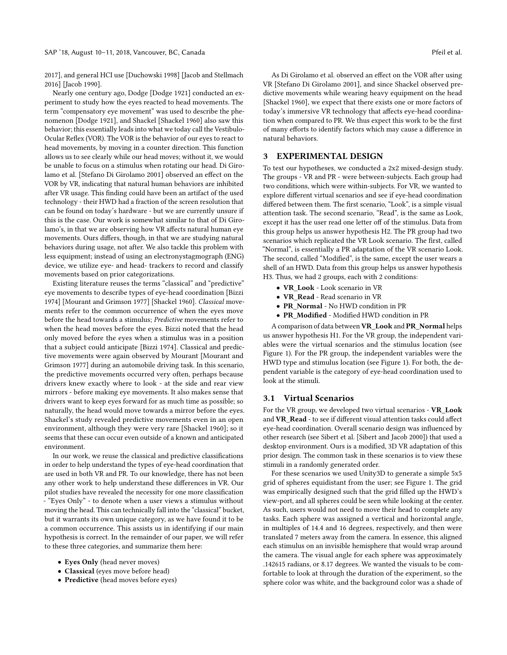[2017\]](#page-6-12), and general HCI use [\[Duchowski 1998\]](#page-6-13) [\[Jacob and Stellmach](#page-6-14) [2016\]](#page-6-14) [\[Jacob 1990\]](#page-6-15).

Nearly one century ago, Dodge [\[Dodge 1921\]](#page-5-1) conducted an experiment to study how the eyes reacted to head movements. The term "compensatory eye movement" was used to describe the phenomenon [\[Dodge 1921\]](#page-5-1), and Shackel [\[Shackel 1960\]](#page-6-3) also saw this behavior; this essentially leads into what we today call the Vestibulo-Ocular Reflex (VOR). The VOR is the behavior of our eyes to react to head movements, by moving in a counter direction. This function allows us to see clearly while our head moves; without it, we would be unable to focus on a stimulus when rotating our head. Di Girolamo et al. [\[Stefano Di Girolamo 2001\]](#page-6-16) observed an effect on the VOR by VR, indicating that natural human behaviors are inhibited after VR usage. This finding could have been an artifact of the used technology - their HWD had a fraction of the screen resolution that can be found on today's hardware - but we are currently unsure if this is the case. Our work is somewhat similar to that of Di Girolamo's, in that we are observing how VR affects natural human eye movements. Ours differs, though, in that we are studying natural behaviors during usage, not after. We also tackle this problem with less equipment; instead of using an electronystagmograph (ENG) device, we utilize eye- and head- trackers to record and classify movements based on prior categorizations.

Existing literature reuses the terms "classical" and "predictive" eye movements to describe types of eye-head coordination [\[Bizzi](#page-5-0) [1974\]](#page-5-0) [\[Mourant and Grimson 1977\]](#page-6-2) [\[Shackel 1960\]](#page-6-3). Classical movements refer to the common occurrence of when the eyes move before the head towards a stimulus; Predictive movements refer to when the head moves before the eyes. Bizzi noted that the head only moved before the eyes when a stimulus was in a position that a subject could anticipate [\[Bizzi 1974\]](#page-5-0). Classical and predictive movements were again observed by Mourant [\[Mourant and](#page-6-2) [Grimson 1977\]](#page-6-2) during an automobile driving task. In this scenario, the predictive movements occurred very often, perhaps because drivers knew exactly where to look - at the side and rear view mirrors - before making eye movements. It also makes sense that drivers want to keep eyes forward for as much time as possible; so naturally, the head would move towards a mirror before the eyes. Shackel's study revealed predictive movements even in an open environment, although they were very rare [\[Shackel 1960\]](#page-6-3); so it seems that these can occur even outside of a known and anticipated environment.

In our work, we reuse the classical and predictive classifications in order to help understand the types of eye-head coordination that are used in both VR and PR. To our knowledge, there has not been any other work to help understand these differences in VR. Our pilot studies have revealed the necessity for one more classification - "Eyes Only" - to denote when a user views a stimulus without moving the head. This can technically fall into the "classical" bucket, but it warrants its own unique category, as we have found it to be a common occurrence. This assists us in identifying if our main hypothesis is correct. In the remainder of our paper, we will refer to these three categories, and summarize them here:

- Eyes Only (head never moves)
- Classical (eyes move before head)
- Predictive (head moves before eyes)

As Di Girolamo et al. observed an effect on the VOR after using VR [\[Stefano Di Girolamo 2001\]](#page-6-16), and since Shackel observed predictive movements while wearing heavy equipment on the head [\[Shackel 1960\]](#page-6-3), we expect that there exists one or more factors of today's immersive VR technology that affects eye-head coordination when compared to PR. We thus expect this work to be the first of many efforts to identify factors which may cause a difference in natural behaviors.

## 3 EXPERIMENTAL DESIGN

To test our hypotheses, we conducted a 2x2 mixed-design study. The groups - VR and PR - were between-subjects. Each group had two conditions, which were within-subjects. For VR, we wanted to explore different virtual scenarios and see if eye-head coordination differed between them. The first scenario, "Look", is a simple visual attention task. The second scenario, "Read", is the same as Look, except it has the user read one letter off of the stimulus. Data from this group helps us answer hypothesis H2. The PR group had two scenarios which replicated the VR Look scenario. The first, called "Normal", is essentially a PR adaptation of the VR scenario Look. The second, called "Modified", is the same, except the user wears a shell of an HWD. Data from this group helps us answer hypothesis H3. Thus, we had 2 groups, each with 2 conditions:

- VR\_Look Look scenario in VR
- VR\_Read Read scenario in VR
- PR\_Normal No HWD condition in PR
- PR\_Modified Modified HWD condition in PR

A comparison of data between VR\_Look and PR\_Normal helps us answer hypothesis H1. For the VR group, the independent variables were the virtual scenarios and the stimulus location (see Figure [1\)](#page-2-0). For the PR group, the independent variables were the HWD type and stimulus location (see Figure [1\)](#page-2-0). For both, the dependent variable is the category of eye-head coordination used to look at the stimuli.

## 3.1 Virtual Scenarios

For the VR group, we developed two virtual scenarios - VR\_Look and VR\_Read - to see if different visual attention tasks could affect eye-head coordination. Overall scenario design was influenced by other research (see Sibert et al. [\[Sibert and Jacob 2000\]](#page-6-17)) that used a desktop environment. Ours is a modified, 3D VR adaptation of this prior design. The common task in these scenarios is to view these stimuli in a randomly generated order.

For these scenarios we used Unity3D to generate a simple 5x5 grid of spheres equidistant from the user; see Figure [1.](#page-2-0) The grid was empirically designed such that the grid filled up the HWD's view-port, and all spheres could be seen while looking at the center. As such, users would not need to move their head to complete any tasks. Each sphere was assigned a vertical and horizontal angle, in multiples of 14.4 and 16 degrees, respectively, and then were translated 7 meters away from the camera. In essence, this aligned each stimulus on an invisible hemisphere that would wrap around the camera. The visual angle for each sphere was approximately .142615 radians, or 8.17 degrees. We wanted the visuals to be comfortable to look at through the duration of the experiment, so the sphere color was white, and the background color was a shade of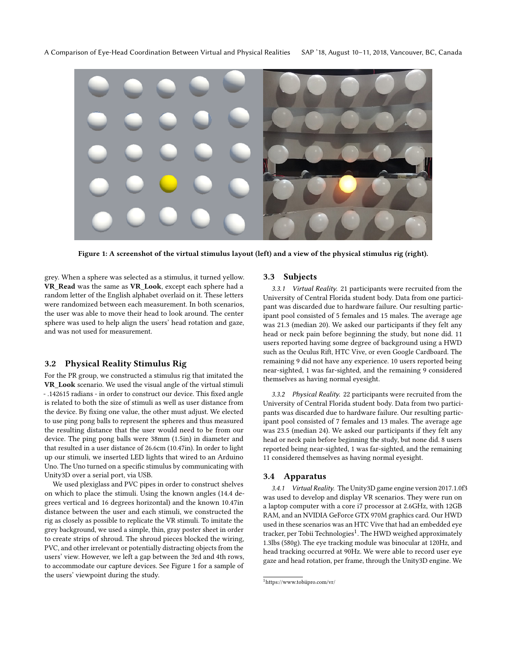<span id="page-2-0"></span>A Comparison of Eye-Head Coordination Between Virtual and Physical Realities SAP '18, August 10–11, 2018, Vancouver, BC, Canada



Figure 1: A screenshot of the virtual stimulus layout (left) and a view of the physical stimulus rig (right).

grey. When a sphere was selected as a stimulus, it turned yellow. VR\_Read was the same as VR\_Look, except each sphere had a random letter of the English alphabet overlaid on it. These letters were randomized between each measurement. In both scenarios, the user was able to move their head to look around. The center sphere was used to help align the users' head rotation and gaze, and was not used for measurement.

# 3.2 Physical Reality Stimulus Rig

For the PR group, we constructed a stimulus rig that imitated the VR Look scenario. We used the visual angle of the virtual stimuli - .142615 radians - in order to construct our device. This fixed angle is related to both the size of stimuli as well as user distance from the device. By fixing one value, the other must adjust. We elected to use ping pong balls to represent the spheres and thus measured the resulting distance that the user would need to be from our device. The ping pong balls were 38mm (1.5in) in diameter and that resulted in a user distance of 26.6cm (10.47in). In order to light up our stimuli, we inserted LED lights that wired to an Arduino Uno. The Uno turned on a specific stimulus by communicating with Unity3D over a serial port, via USB.

We used plexiglass and PVC pipes in order to construct shelves on which to place the stimuli. Using the known angles (14.4 degrees vertical and 16 degrees horizontal) and the known 10.47in distance between the user and each stimuli, we constructed the rig as closely as possible to replicate the VR stimuli. To imitate the grey background, we used a simple, thin, gray poster sheet in order to create strips of shroud. The shroud pieces blocked the wiring, PVC, and other irrelevant or potentially distracting objects from the users' view. However, we left a gap between the 3rd and 4th rows, to accommodate our capture devices. See Figure [1](#page-2-0) for a sample of the users' viewpoint during the study.

#### 3.3 Subjects

3.3.1 Virtual Reality. 21 participants were recruited from the University of Central Florida student body. Data from one participant was discarded due to hardware failure. Our resulting participant pool consisted of 5 females and 15 males. The average age was 21.3 (median 20). We asked our participants if they felt any head or neck pain before beginning the study, but none did. 11 users reported having some degree of background using a HWD such as the Oculus Rift, HTC Vive, or even Google Cardboard. The remaining 9 did not have any experience. 10 users reported being near-sighted, 1 was far-sighted, and the remaining 9 considered themselves as having normal eyesight.

3.3.2 Physical Reality. 22 participants were recruited from the University of Central Florida student body. Data from two participants was discarded due to hardware failure. Our resulting participant pool consisted of 7 females and 13 males. The average age was 23.5 (median 24). We asked our participants if they felt any head or neck pain before beginning the study, but none did. 8 users reported being near-sighted, 1 was far-sighted, and the remaining 11 considered themselves as having normal eyesight.

#### 3.4 Apparatus

3.4.1 Virtual Reality. The Unity3D game engine version 2017.1.0f3 was used to develop and display VR scenarios. They were run on a laptop computer with a core i7 processor at 2.6GHz, with 12GB RAM, and an NVIDIA GeForce GTX 970M graphics card. Our HWD used in these scenarios was an HTC Vive that had an embedded eye tracker, per Tobii Technologies<sup>[1](#page-2-1)</sup>. The HWD weighed approximately 1.3lbs (580g). The eye tracking module was binocular at 120Hz, and head tracking occurred at 90Hz. We were able to record user eye gaze and head rotation, per frame, through the Unity3D engine. We

<span id="page-2-1"></span> $^1$ https://www.tobiipro.com/vr/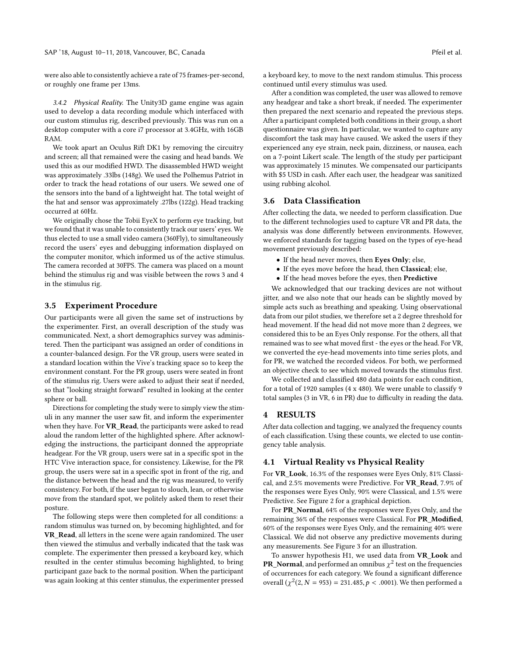were also able to consistently achieve a rate of 75 frames-per-second, or roughly one frame per 13ms.

3.4.2 Physical Reality. The Unity3D game engine was again used to develop a data recording module which interfaced with our custom stimulus rig, described previously. This was run on a desktop computer with a core i7 processor at 3.4GHz, with 16GB RAM.

We took apart an Oculus Rift DK1 by removing the circuitry and screen; all that remained were the casing and head bands. We used this as our modified HWD. The disassembled HWD weight was approximately .33lbs (148g). We used the Polhemus Patriot in order to track the head rotations of our users. We sewed one of the sensors into the band of a lightweight hat. The total weight of the hat and sensor was approximately .27lbs (122g). Head tracking occurred at 60Hz.

We originally chose the Tobii EyeX to perform eye tracking, but we found that it was unable to consistently track our users' eyes. We thus elected to use a small video camera (360Fly), to simultaneously record the users' eyes and debugging information displayed on the computer monitor, which informed us of the active stimulus. The camera recorded at 30FPS. The camera was placed on a mount behind the stimulus rig and was visible between the rows 3 and 4 in the stimulus rig.

#### 3.5 Experiment Procedure

Our participants were all given the same set of instructions by the experimenter. First, an overall description of the study was communicated. Next, a short demographics survey was administered. Then the participant was assigned an order of conditions in a counter-balanced design. For the VR group, users were seated in a standard location within the Vive's tracking space so to keep the environment constant. For the PR group, users were seated in front of the stimulus rig. Users were asked to adjust their seat if needed, so that "looking straight forward" resulted in looking at the center sphere or ball.

Directions for completing the study were to simply view the stimuli in any manner the user saw fit, and inform the experimenter when they have. For VR\_Read, the participants were asked to read aloud the random letter of the highlighted sphere. After acknowledging the instructions, the participant donned the appropriate headgear. For the VR group, users were sat in a specific spot in the HTC Vive interaction space, for consistency. Likewise, for the PR group, the users were sat in a specific spot in front of the rig, and the distance between the head and the rig was measured, to verify consistency. For both, if the user began to slouch, lean, or otherwise move from the standard spot, we politely asked them to reset their posture.

The following steps were then completed for all conditions: a random stimulus was turned on, by becoming highlighted, and for VR Read, all letters in the scene were again randomized. The user then viewed the stimulus and verbally indicated that the task was complete. The experimenter then pressed a keyboard key, which resulted in the center stimulus becoming highlighted, to bring participant gaze back to the normal position. When the participant was again looking at this center stimulus, the experimenter pressed a keyboard key, to move to the next random stimulus. This process continued until every stimulus was used.

After a condition was completed, the user was allowed to remove any headgear and take a short break, if needed. The experimenter then prepared the next scenario and repeated the previous steps. After a participant completed both conditions in their group, a short questionnaire was given. In particular, we wanted to capture any discomfort the task may have caused. We asked the users if they experienced any eye strain, neck pain, dizziness, or nausea, each on a 7-point Likert scale. The length of the study per participant was approximately 15 minutes. We compensated our participants with \$5 USD in cash. After each user, the headgear was sanitized using rubbing alcohol.

### 3.6 Data Classification

After collecting the data, we needed to perform classification. Due to the different technologies used to capture VR and PR data, the analysis was done differently between environments. However, we enforced standards for tagging based on the types of eye-head movement previously described:

- If the head never moves, then Eyes Only; else,
- If the eyes move before the head, then Classical; else,
- If the head moves before the eyes, then Predictive

We acknowledged that our tracking devices are not without jitter, and we also note that our heads can be slightly moved by simple acts such as breathing and speaking. Using observational data from our pilot studies, we therefore set a 2 degree threshold for head movement. If the head did not move more than 2 degrees, we considered this to be an Eyes Only response. For the others, all that remained was to see what moved first - the eyes or the head. For VR, we converted the eye-head movements into time series plots, and for PR, we watched the recorded videos. For both, we performed an objective check to see which moved towards the stimulus first.

We collected and classified 480 data points for each condition, for a total of 1920 samples (4 x 480). We were unable to classify 9 total samples (3 in VR, 6 in PR) due to difficulty in reading the data.

#### 4 RESULTS

After data collection and tagging, we analyzed the frequency counts of each classification. Using these counts, we elected to use contingency table analysis.

## 4.1 Virtual Reality vs Physical Reality

For VR\_Look, 16.3% of the responses were Eyes Only, 81% Classical, and 2.5% movements were Predictive. For VR\_Read, 7.9% of the responses were Eyes Only, 90% were Classical, and 1.5% were Predictive. See Figure [2](#page-4-0) for a graphical depiction.

For PR\_Normal, 64% of the responses were Eyes Only, and the remaining 36% of the responses were Classical. For PR\_Modified, 60% of the responses were Eyes Only, and the remaining 40% were Classical. We did not observe any predictive movements during any measurements. See Figure [3](#page-4-1) for an illustration.

To answer hypothesis H1, we used data from VR\_Look and **PR\_Normal**, and performed an omnibus  $\chi^2$  test on the frequencies of occurrences for each category. We found a significant difference overall  $(\chi^2(2, N = 953) = 231.485, p < .0001)$ . We then performed a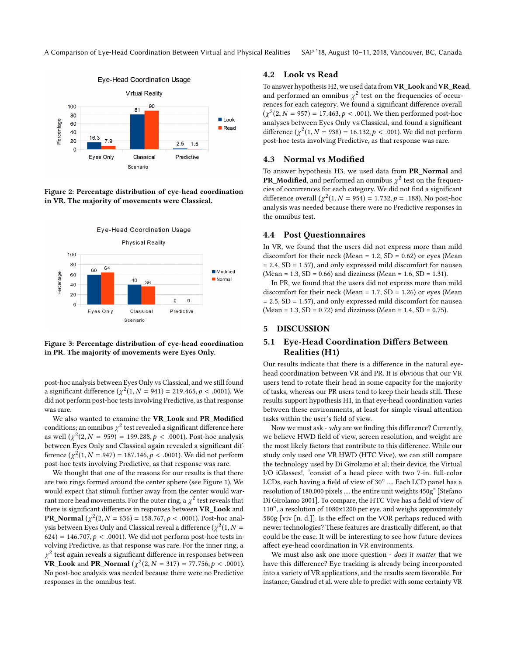A Comparison of Eye-Head Coordination Between Virtual and Physical Realities SAP '18, August 10–11, 2018, Vancouver, BC, Canada

<span id="page-4-0"></span>

Figure 2: Percentage distribution of eye-head coordination in VR. The majority of movements were Classical.

<span id="page-4-1"></span>

Figure 3: Percentage distribution of eye-head coordination in PR. The majority of movements were Eyes Only.

post-hoc analysis between Eyes Only vs Classical, and we still found a significant difference  $(\chi^2(1, N = 941) = 219.465, p < .0001)$ . We did not perform post-boc tests involving Predictive as that response did not perform post-hoc tests involving Predictive, as that response was rare.

We also wanted to examine the VR\_Look and PR\_Modified conditions; an omnibus  $\chi^2$  test revealed a significant difference here as well  $(\chi^2(2, N = 959) = 199.288, p < .0001)$ . Post-hoc analysis<br>between Eves Only and Classical again revealed a significant difbetween Eyes Only and Classical again revealed a significant difference  $(\chi^2(1, N = 947) = 187.146, p < .0001)$ . We did not perform post-hoc tests involving Predictive, as that response was rare.

We thought that one of the reasons for our results is that there are two rings formed around the center sphere (see Figure [1\)](#page-2-0). We would expect that stimuli further away from the center would warrant more head movements. For the outer ring, a  $\chi^2$  test reveals that there is significant difference in responses between VR\_Look and **PR\_Normal**  $(\chi^2(2, N = 636) = 158.767, p < .0001)$ . Post-hoc anal-<br>weis between Eyes Only and Classical rayeal a difference  $(\chi^2(1, N =$ ysis between Eyes Only and Classical reveal a difference  $(\chi^2(1, N = 624) - 146, 707, \kappa < 0001)$ . We did not perform post-boo tests in.  $624$ ) = 146.707,  $p < .0001$ ). We did not perform post-hoc tests involving Predictive, as that response was rare. For the inner ring, a  $\chi^2$  test again reveals a significant difference in responses between **VR\_Look** and **PR\_Normal**  $(\chi^2(2, N = 317)) = 77.756, p < .0001)$ .<br>No post-boc analysis was needed because there were no Predictive No post-hoc analysis was needed because there were no Predictive responses in the omnibus test.

#### 4.2 Look vs Read

To answer hypothesis H2, we used data from VR\_Look and VR\_Read, and performed an omnibus  $\chi^2$  test on the frequencies of occurrences for each category. We found a significant difference overall  $(\chi^2(2, N = 957) = 17.463, p < .001)$ . We then performed post-hoc analyses between Eyes Only vs Classical, and found a significant difference  $(\chi^2(1, N = 938) = 16.132, p < .001)$ . We did not perform post-hoc tests involving Predictive, as that response was rare.

#### 4.3 Normal vs Modified

To answer hypothesis H3, we used data from PR\_Normal and **PR\_Modified**, and performed an omnibus  $\chi^2$  test on the frequencies of occurrences for each category. We did not find a significant difference overall  $(\chi^2(1, N = 954) = 1.732, p = .188)$ . No post-hoc analysis was needed because there were no Predictive responses in the omnibus test.

#### 4.4 Post Questionnaires

In VR, we found that the users did not express more than mild discomfort for their neck (Mean =  $1.2$ , SD =  $0.62$ ) or eyes (Mean = 2.4, SD = 1.57), and only expressed mild discomfort for nausea  $(Mean = 1.3, SD = 0.66)$  and dizziness  $(Mean = 1.6, SD = 1.31)$ .

In PR, we found that the users did not express more than mild discomfort for their neck (Mean =  $1.7$ , SD =  $1.26$ ) or eyes (Mean = 2.5, SD = 1.57), and only expressed mild discomfort for nausea  $(Mean = 1.3, SD = 0.72)$  and dizziness  $(Mean = 1.4, SD = 0.75)$ .

## 5 DISCUSSION

# 5.1 Eye-Head Coordination Differs Between Realities (H1)

Our results indicate that there is a difference in the natural eyehead coordination between VR and PR. It is obvious that our VR users tend to rotate their head in some capacity for the majority of tasks, whereas our PR users tend to keep their heads still. These results support hypothesis H1, in that eye-head coordination varies between these environments, at least for simple visual attention tasks within the user's field of view.

Now we must ask - why are we finding this difference? Currently, we believe HWD field of view, screen resolution, and weight are the most likely factors that contribute to this difference. While our study only used one VR HWD (HTC Vive), we can still compare the technology used by Di Girolamo et al; their device, the Virtual I/O iGlasses!, "consist of a head piece with two 7-in. full-color LCDs, each having a field of view of 30◦ .... Each LCD panel has a resolution of 180,000 pixels .... the entire unit weights 450g" [\[Stefano](#page-6-16) [Di Girolamo 2001\]](#page-6-16). To compare, the HTC Vive has a field of view of 110°, a resolution of 1080x1200 per eye, and weighs approximately 580g [\[viv \[n. d.\]\]](#page-5-3). Is the effect on the VOR perhaps reduced with newer technologies? These features are drastically different, so that could be the case. It will be interesting to see how future devices affect eye-head coordination in VR environments.

We must also ask one more question - does it matter that we have this difference? Eye tracking is already being incorporated into a variety of VR applications, and the results seem favorable. For instance, Gandrud et al. were able to predict with some certainty VR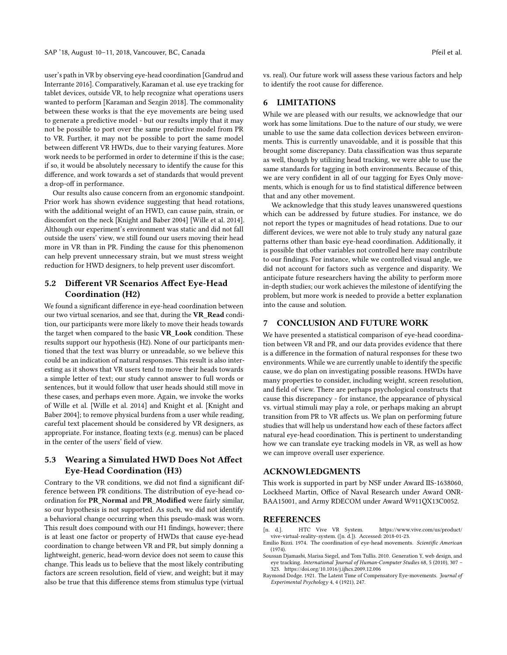user's path in VR by observing eye-head coordination [\[Gandrud and](#page-6-18) [Interrante 2016\]](#page-6-18). Comparatively, Karaman et al. use eye tracking for tablet devices, outside VR, to help recognize what operations users wanted to perform [\[Karaman and Sezgin 2018\]](#page-6-19). The commonality between these works is that the eye movements are being used to generate a predictive model - but our results imply that it may not be possible to port over the same predictive model from PR to VR. Further, it may not be possible to port the same model between different VR HWDs, due to their varying features. More work needs to be performed in order to determine if this is the case; if so, it would be absolutely necessary to identify the cause for this difference, and work towards a set of standards that would prevent a drop-off in performance.

Our results also cause concern from an ergonomic standpoint. Prior work has shown evidence suggesting that head rotations, with the additional weight of an HWD, can cause pain, strain, or discomfort on the neck [\[Knight and Baber 2004\]](#page-6-20) [\[Wille et al.](#page-6-21) [2014\]](#page-6-21). Although our experiment's environment was static and did not fall outside the users' view, we still found our users moving their head more in VR than in PR. Finding the cause for this phenomenon can help prevent unnecessary strain, but we must stress weight reduction for HWD designers, to help prevent user discomfort.

# 5.2 Different VR Scenarios Affect Eye-Head Coordination (H2)

We found a significant difference in eye-head coordination between our two virtual scenarios, and see that, during the VR\_Read condition, our participants were more likely to move their heads towards the target when compared to the basic VR Look condition. These results support our hypothesis (H2). None of our participants mentioned that the text was blurry or unreadable, so we believe this could be an indication of natural responses. This result is also interesting as it shows that VR users tend to move their heads towards a simple letter of text; our study cannot answer to full words or sentences, but it would follow that user heads should still move in these cases, and perhaps even more. Again, we invoke the works of Wille et al. [\[Wille et al.](#page-6-21) [2014\]](#page-6-21) and Knight et al. [\[Knight and](#page-6-20) [Baber 2004\]](#page-6-20); to remove physical burdens from a user while reading, careful text placement should be considered by VR designers, as appropriate. For instance, floating texts (e.g. menus) can be placed in the center of the users' field of view.

# 5.3 Wearing a Simulated HWD Does Not Affect Eye-Head Coordination (H3)

Contrary to the VR conditions, we did not find a significant difference between PR conditions. The distribution of eye-head coordination for PR\_Normal and PR\_Modified were fairly similar, so our hypothesis is not supported. As such, we did not identify a behavioral change occurring when this pseudo-mask was worn. This result does compound with our H1 findings, however; there is at least one factor or property of HWDs that cause eye-head coordination to change between VR and PR, but simply donning a lightweight, generic, head-worn device does not seem to cause this change. This leads us to believe that the most likely contributing factors are screen resolution, field of view, and weight; but it may also be true that this difference stems from stimulus type (virtual

vs. real). Our future work will assess these various factors and help to identify the root cause for difference.

## 6 LIMITATIONS

While we are pleased with our results, we acknowledge that our work has some limitations. Due to the nature of our study, we were unable to use the same data collection devices between environments. This is currently unavoidable, and it is possible that this brought some discrepancy. Data classification was thus separate as well, though by utilizing head tracking, we were able to use the same standards for tagging in both environments. Because of this, we are very confident in all of our tagging for Eyes Only movements, which is enough for us to find statistical difference between that and any other movement.

We acknowledge that this study leaves unanswered questions which can be addressed by future studies. For instance, we do not report the types or magnitudes of head rotations. Due to our different devices, we were not able to truly study any natural gaze patterns other than basic eye-head coordination. Additionally, it is possible that other variables not controlled here may contribute to our findings. For instance, while we controlled visual angle, we did not account for factors such as vergence and disparity. We anticipate future researchers having the ability to perform more in-depth studies; our work achieves the milestone of identifying the problem, but more work is needed to provide a better explanation into the cause and solution.

# 7 CONCLUSION AND FUTURE WORK

We have presented a statistical comparison of eye-head coordination between VR and PR, and our data provides evidence that there is a difference in the formation of natural responses for these two environments. While we are currently unable to identify the specific cause, we do plan on investigating possible reasons. HWDs have many properties to consider, including weight, screen resolution, and field of view. There are perhaps psychological constructs that cause this discrepancy - for instance, the appearance of physical vs. virtual stimuli may play a role, or perhaps making an abrupt transition from PR to VR affects us. We plan on performing future studies that will help us understand how each of these factors affect natural eye-head coordination. This is pertinent to understanding how we can translate eye tracking models in VR, as well as how we can improve overall user experience.

#### ACKNOWLEDGMENTS

This work is supported in part by NSF under Award IIS-1638060, Lockheed Martin, Office of Naval Research under Award ONR-BAA15001, and Army RDECOM under Award W911QX13C0052.

#### REFERENCES

- <span id="page-5-3"></span>[n. d.]. HTC Vive VR System. [https://www.vive.com/us/product/](https://www.vive.com/us/product/vive-virtual-reality-system) [vive-virtual-reality-system.](https://www.vive.com/us/product/vive-virtual-reality-system) ([n. d.]). Accessed: 2018-01-23.
- <span id="page-5-0"></span>Emilio Bizzi. 1974. The coordination of eye-head movements. Scientific American (1974).
- <span id="page-5-2"></span>Soussan Djamasbi, Marisa Siegel, and Tom Tullis. 2010. Generation Y, web design, and eye tracking. International Journal of Human-Computer Studies 68, 5 (2010), 307 – 323.<https://doi.org/10.1016/j.ijhcs.2009.12.006>
- <span id="page-5-1"></span>Raymond Dodge. 1921. The Latent Time of Compensatory Eye-movements. Journal of Experimental Psychology 4, 4 (1921), 247.